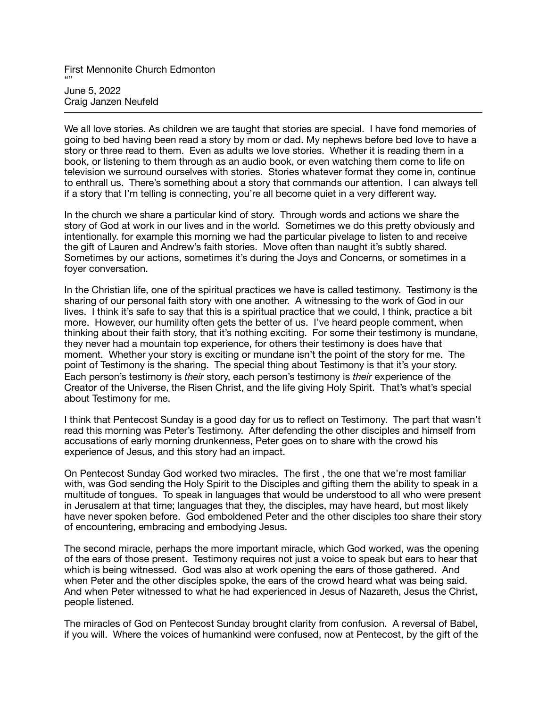First Mennonite Church Edmonton "" June 5, 2022 Craig Janzen Neufeld

We all love stories. As children we are taught that stories are special. I have fond memories of going to bed having been read a story by mom or dad. My nephews before bed love to have a story or three read to them. Even as adults we love stories. Whether it is reading them in a book, or listening to them through as an audio book, or even watching them come to life on television we surround ourselves with stories. Stories whatever format they come in, continue to enthrall us. There's something about a story that commands our attention. I can always tell if a story that I'm telling is connecting, you're all become quiet in a very different way.

In the church we share a particular kind of story. Through words and actions we share the story of God at work in our lives and in the world. Sometimes we do this pretty obviously and intentionally. for example this morning we had the particular pivelage to listen to and receive the gift of Lauren and Andrew's faith stories. Move often than naught it's subtly shared. Sometimes by our actions, sometimes it's during the Joys and Concerns, or sometimes in a foyer conversation.

In the Christian life, one of the spiritual practices we have is called testimony. Testimony is the sharing of our personal faith story with one another. A witnessing to the work of God in our lives. I think it's safe to say that this is a spiritual practice that we could, I think, practice a bit more. However, our humility often gets the better of us. I've heard people comment, when thinking about their faith story, that it's nothing exciting. For some their testimony is mundane, they never had a mountain top experience, for others their testimony is does have that moment. Whether your story is exciting or mundane isn't the point of the story for me. The point of Testimony is the sharing. The special thing about Testimony is that it's your story. Each person's testimony is *their* story, each person's testimony is *their* experience of the Creator of the Universe, the Risen Christ, and the life giving Holy Spirit. That's what's special about Testimony for me.

I think that Pentecost Sunday is a good day for us to reflect on Testimony. The part that wasn't read this morning was Peter's Testimony. After defending the other disciples and himself from accusations of early morning drunkenness, Peter goes on to share with the crowd his experience of Jesus, and this story had an impact.

On Pentecost Sunday God worked two miracles. The first , the one that we're most familiar with, was God sending the Holy Spirit to the Disciples and gifting them the ability to speak in a multitude of tongues. To speak in languages that would be understood to all who were present in Jerusalem at that time; languages that they, the disciples, may have heard, but most likely have never spoken before. God emboldened Peter and the other disciples too share their story of encountering, embracing and embodying Jesus.

The second miracle, perhaps the more important miracle, which God worked, was the opening of the ears of those present. Testimony requires not just a voice to speak but ears to hear that which is being witnessed. God was also at work opening the ears of those gathered. And when Peter and the other disciples spoke, the ears of the crowd heard what was being said. And when Peter witnessed to what he had experienced in Jesus of Nazareth, Jesus the Christ, people listened.

The miracles of God on Pentecost Sunday brought clarity from confusion. A reversal of Babel, if you will. Where the voices of humankind were confused, now at Pentecost, by the gift of the